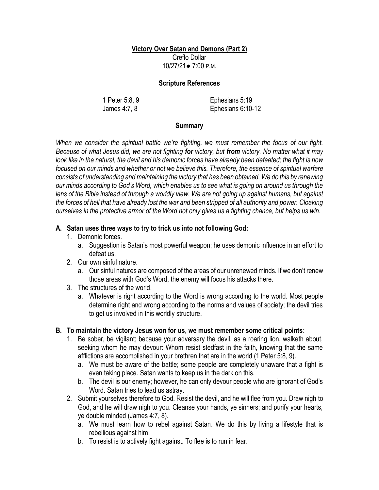### **Victory Over Satan and Demons (Part 2)**

Creflo Dollar 10/27/21● 7:00 P.M.

### **Scripture References**

1 Peter 5:8, 9 James 4:7, 8

Ephesians 5:19 Ephesians 6:10-12

### **Summary**

*When we consider the spiritual battle we're fighting, we must remember the focus of our fight. Because of what Jesus did, we are not fighting for victory, but from victory. No matter what it may look like in the natural, the devil and his demonic forces have already been defeated; the fight is now focused on our minds and whether or not we believe this. Therefore, the essence of spiritual warfare consists of understanding and maintaining the victory that has been obtained. We do this by renewing our minds according to God's Word, which enables us to see what is going on around us through the lens of the Bible instead of through a worldly view. We are not going up against humans, but against the forces of hell that have already lost the war and been stripped of all authority and power. Cloaking ourselves in the protective armor of the Word not only gives us a fighting chance, but helps us win.*

# **A. Satan uses three ways to try to trick us into not following God:**

- 1. Demonic forces.
	- a. Suggestion is Satan's most powerful weapon; he uses demonic influence in an effort to defeat us.
- 2. Our own sinful nature.
	- a. Our sinful natures are composed of the areas of our unrenewed minds. If we don't renew those areas with God's Word, the enemy will focus his attacks there.
- 3. The structures of the world.
	- a. Whatever is right according to the Word is wrong according to the world. Most people determine right and wrong according to the norms and values of society; the devil tries to get us involved in this worldly structure.

# **B. To maintain the victory Jesus won for us, we must remember some critical points:**

- 1. Be sober, be vigilant; because your adversary the devil, as a roaring lion, walketh about, seeking whom he may devour: Whom resist stedfast in the faith, knowing that the same afflictions are accomplished in your brethren that are in the world (1 Peter 5:8, 9).
	- a. We must be aware of the battle; some people are completely unaware that a fight is even taking place. Satan wants to keep us in the dark on this.
	- b. The devil is our enemy; however, he can only devour people who are ignorant of God's Word. Satan tries to lead us astray.
- 2. Submit yourselves therefore to God. Resist the devil, and he will flee from you. Draw nigh to God, and he will draw nigh to you. Cleanse your hands, ye sinners; and purify your hearts, ye double minded (James 4:7, 8).
	- a. We must learn how to rebel against Satan. We do this by living a lifestyle that is rebellious against him.
	- b. To resist is to actively fight against. To flee is to run in fear.